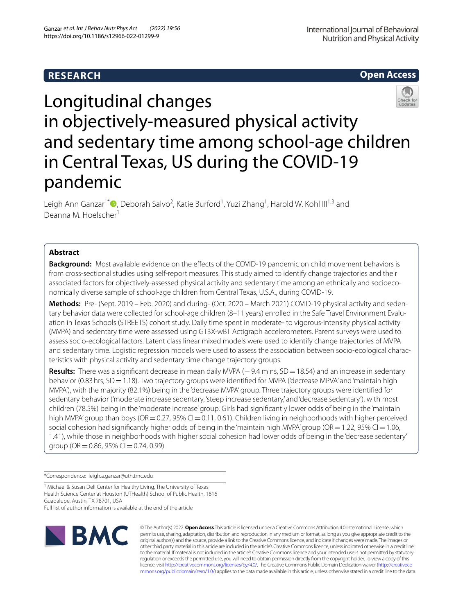# **Open Access**



# Longitudinal changes in objectively-measured physical activity and sedentary time among school-age children in Central Texas, US during the COVID-19 pandemic

Leigh Ann Ganzar<sup>1\*</sup><sup>®</sup>[,](http://orcid.org/0000-0003-4401-3797) Deborah Salvo<sup>2</sup>, Katie Burford<sup>1</sup>, Yuzi Zhang<sup>1</sup>, Harold W. Kohl III<sup>1,3</sup> and Deanna M. Hoelscher<sup>1</sup>

## **Abstract**

**Background:** Most available evidence on the effects of the COVID-19 pandemic on child movement behaviors is from cross-sectional studies using self-report measures. This study aimed to identify change trajectories and their associated factors for objectively-assessed physical activity and sedentary time among an ethnically and socioeconomically diverse sample of school-age children from Central Texas, U.S.A., during COVID-19.

**Methods:** Pre- (Sept. 2019 – Feb. 2020) and during- (Oct. 2020 – March 2021) COVID-19 physical activity and sedentary behavior data were collected for school-age children (8–11 years) enrolled in the Safe Travel Environment Evaluation in Texas Schools (STREETS) cohort study. Daily time spent in moderate- to vigorous-intensity physical activity (MVPA) and sedentary time were assessed using GT3X-wBT Actigraph accelerometers. Parent surveys were used to assess socio-ecological factors. Latent class linear mixed models were used to identify change trajectories of MVPA and sedentary time. Logistic regression models were used to assess the association between socio-ecological characteristics with physical activity and sedentary time change trajectory groups.

**Results:** There was a significant decrease in mean daily MVPA (−9.4 mins, SD = 18.54) and an increase in sedentary behavior (0.83 hrs, SD = 1.18). Two trajectory groups were identified for MVPA ('decrease MPVA' and 'maintain high MVPA'), with the majority (82.1%) being in the 'decrease MVPA' group. Three trajectory groups were identifed for sedentary behavior ('moderate increase sedentary, 'steep increase sedentary,' and 'decrease sedentary'), with most children (78.5%) being in the 'moderate increase' group. Girls had signifcantly lower odds of being in the 'maintain high MVPA' group than boys ( $OR = 0.27$ , 95% CI $= 0.11$ , 0.61). Children living in neighborhoods with higher perceived social cohesion had significantly higher odds of being in the 'maintain high MVPA' group (OR = 1.22, 95% CI = 1.06, 1.41), while those in neighborhoods with higher social cohesion had lower odds of being in the 'decrease sedentary' group (OR = 0.86, 95% CI = 0.74, 0.99).

\*Correspondence: leigh.a.ganzar@uth.tmc.edu

<sup>1</sup> Michael & Susan Dell Center for Healthy Living, The University of Texas Health Science Center at Houston (UTHealth) School of Public Health, 1616 Guadalupe, Austin, TX 78701, USA Full list of author information is available at the end of the article



© The Author(s) 2022. **Open Access** This article is licensed under a Creative Commons Attribution 4.0 International License, which permits use, sharing, adaptation, distribution and reproduction in any medium or format, as long as you give appropriate credit to the original author(s) and the source, provide a link to the Creative Commons licence, and indicate if changes were made. The images or other third party material in this article are included in the article's Creative Commons licence, unless indicated otherwise in a credit line to the material. If material is not included in the article's Creative Commons licence and your intended use is not permitted by statutory regulation or exceeds the permitted use, you will need to obtain permission directly from the copyright holder. To view a copy of this licence, visit [http://creativecommons.org/licenses/by/4.0/.](http://creativecommons.org/licenses/by/4.0/) The Creative Commons Public Domain Dedication waiver ([http://creativeco](http://creativecommons.org/publicdomain/zero/1.0/) [mmons.org/publicdomain/zero/1.0/](http://creativecommons.org/publicdomain/zero/1.0/)) applies to the data made available in this article, unless otherwise stated in a credit line to the data.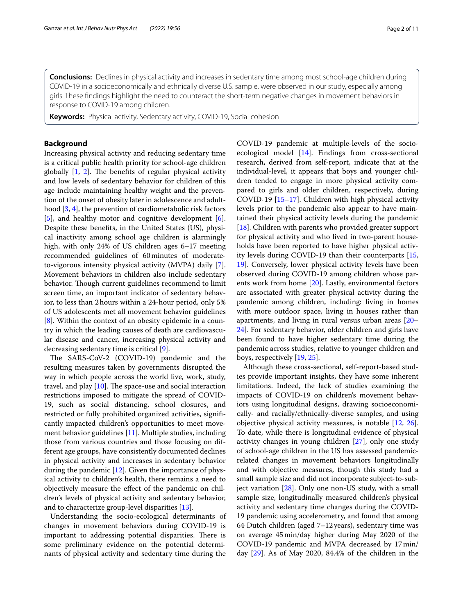**Conclusions:** Declines in physical activity and increases in sedentary time among most school-age children during COVID-19 in a socioeconomically and ethnically diverse U.S. sample, were observed in our study, especially among girls. These fndings highlight the need to counteract the short-term negative changes in movement behaviors in response to COVID-19 among children.

**Keywords:** Physical activity, Sedentary activity, COVID-19, Social cohesion

## **Background**

Increasing physical activity and reducing sedentary time is a critical public health priority for school-age children globally  $[1, 2]$  $[1, 2]$  $[1, 2]$  $[1, 2]$  $[1, 2]$ . The benefits of regular physical activity and low levels of sedentary behavior for children of this age include maintaining healthy weight and the prevention of the onset of obesity later in adolescence and adulthood [\[3](#page-9-2), [4](#page-9-3)], the prevention of cardiometabolic risk factors [[5\]](#page-9-4), and healthy motor and cognitive development [\[6](#page-9-5)]. Despite these benefts, in the United States (US), physical inactivity among school age children is alarmingly high, with only 24% of US children ages 6–17 meeting recommended guidelines of 60minutes of moderateto-vigorous intensity physical activity (MVPA) daily [\[7](#page-9-6)]. Movement behaviors in children also include sedentary behavior. Though current guidelines recommend to limit screen time, an important indicator of sedentary behavior, to less than 2hours within a 24-hour period, only 5% of US adolescents met all movement behavior guidelines [[8\]](#page-9-7). Within the context of an obesity epidemic in a country in which the leading causes of death are cardiovascular disease and cancer, increasing physical activity and decreasing sedentary time is critical [\[9](#page-9-8)].

The SARS-CoV-2 (COVID-19) pandemic and the resulting measures taken by governments disrupted the way in which people across the world live, work, study, travel, and play  $[10]$  $[10]$ . The space-use and social interaction restrictions imposed to mitigate the spread of COVID-19, such as social distancing, school closures, and restricted or fully prohibited organized activities, signifcantly impacted children's opportunities to meet movement behavior guidelines [\[11](#page-9-10)]. Multiple studies, including those from various countries and those focusing on different age groups, have consistently documented declines in physical activity and increases in sedentary behavior during the pandemic [[12\]](#page-9-11). Given the importance of physical activity to children's health, there remains a need to objectively measure the efect of the pandemic on children's levels of physical activity and sedentary behavior, and to characterize group-level disparities [[13\]](#page-9-12).

Understanding the socio-ecological determinants of changes in movement behaviors during COVID-19 is important to addressing potential disparities. There is some preliminary evidence on the potential determinants of physical activity and sedentary time during the COVID-19 pandemic at multiple-levels of the socioecological model [\[14](#page-9-13)]. Findings from cross-sectional research, derived from self-report, indicate that at the individual-level, it appears that boys and younger children tended to engage in more physical activity compared to girls and older children, respectively, during COVID-19 [\[15](#page-9-14)[–17\]](#page-9-15). Children with high physical activity levels prior to the pandemic also appear to have maintained their physical activity levels during the pandemic [[18\]](#page-9-16). Children with parents who provided greater support for physical activity and who lived in two-parent households have been reported to have higher physical activity levels during COVID-19 than their counterparts [[15](#page-9-14), [19\]](#page-9-17). Conversely, lower physical activity levels have been observed during COVID-19 among children whose parents work from home [[20\]](#page-9-18). Lastly, environmental factors are associated with greater physical activity during the pandemic among children, including: living in homes with more outdoor space, living in houses rather than apartments, and living in rural versus urban areas [[20–](#page-9-18) [24\]](#page-9-19). For sedentary behavior, older children and girls have been found to have higher sedentary time during the pandemic across studies, relative to younger children and boys, respectively [\[19,](#page-9-17) [25](#page-9-20)].

Although these cross-sectional, self-report-based studies provide important insights, they have some inherent limitations. Indeed, the lack of studies examining the impacts of COVID-19 on children's movement behaviors using longitudinal designs, drawing socioeconomically- and racially/ethnically-diverse samples, and using objective physical activity measures, is notable [[12](#page-9-11), [26](#page-9-21)]. To date, while there is longitudinal evidence of physical activity changes in young children [[27\]](#page-9-22), only one study of school-age children in the US has assessed pandemicrelated changes in movement behaviors longitudinally and with objective measures, though this study had a small sample size and did not incorporate subject-to-subject variation [[28\]](#page-9-23). Only one non-US study, with a small sample size, longitudinally measured children's physical activity and sedentary time changes during the COVID-19 pandemic using accelerometry, and found that among 64 Dutch children (aged 7–12years), sedentary time was on average 45min/day higher during May 2020 of the COVID-19 pandemic and MVPA decreased by 17min/ day [[29\]](#page-9-24). As of May 2020, 84.4% of the children in the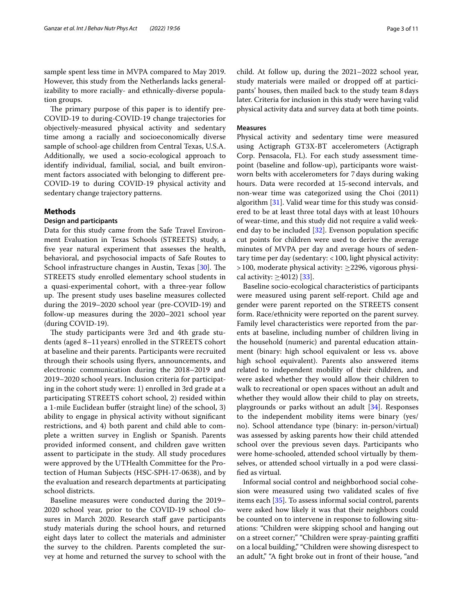sample spent less time in MVPA compared to May 2019. However, this study from the Netherlands lacks generalizability to more racially- and ethnically-diverse population groups.

The primary purpose of this paper is to identify pre-COVID-19 to during-COVID-19 change trajectories for objectively-measured physical activity and sedentary time among a racially and socioeconomically diverse sample of school-age children from Central Texas, U.S.A. Additionally, we used a socio-ecological approach to identify individual, familial, social, and built environment factors associated with belonging to diferent pre-COVID-19 to during COVID-19 physical activity and sedentary change trajectory patterns.

## **Methods**

## **Design and participants**

Data for this study came from the Safe Travel Environment Evaluation in Texas Schools (STREETS) study, a fve year natural experiment that assesses the health, behavioral, and psychosocial impacts of Safe Routes to School infrastructure changes in Austin, Texas [[30\]](#page-9-25). The STREETS study enrolled elementary school students in a quasi-experimental cohort, with a three-year follow up. The present study uses baseline measures collected during the 2019–2020 school year (pre-COVID-19) and follow-up measures during the 2020–2021 school year (during COVID-19).

The study participants were 3rd and 4th grade students (aged 8–11 years) enrolled in the STREETS cohort at baseline and their parents. Participants were recruited through their schools using fyers, announcements, and electronic communication during the 2018–2019 and 2019–2020 school years. Inclusion criteria for participating in the cohort study were: 1) enrolled in 3rd grade at a participating STREETS cohort school, 2) resided within a 1-mile Euclidean bufer (straight line) of the school, 3) ability to engage in physical activity without signifcant restrictions, and 4) both parent and child able to complete a written survey in English or Spanish. Parents provided informed consent, and children gave written assent to participate in the study. All study procedures were approved by the UTHealth Committee for the Protection of Human Subjects (HSC-SPH-17-0638), and by the evaluation and research departments at participating school districts.

Baseline measures were conducted during the 2019– 2020 school year, prior to the COVID-19 school closures in March 2020. Research staff gave participants study materials during the school hours, and returned eight days later to collect the materials and administer the survey to the children. Parents completed the survey at home and returned the survey to school with the child. At follow up, during the 2021–2022 school year, study materials were mailed or dropped off at participants' houses, then mailed back to the study team 8days later. Criteria for inclusion in this study were having valid physical activity data and survey data at both time points.

#### **Measures**

Physical activity and sedentary time were measured using Actigraph GT3X-BT accelerometers (Actigraph Corp. Pensacola, FL). For each study assessment timepoint (baseline and follow-up), participants wore waistworn belts with accelerometers for 7days during waking hours. Data were recorded at 15-second intervals, and non-wear time was categorized using the Choi (2011) algorithm [\[31](#page-9-26)]. Valid wear time for this study was considered to be at least three total days with at least 10hours of wear-time, and this study did not require a valid weekend day to be included [\[32\]](#page-9-27). Evenson population specifc cut points for children were used to derive the average minutes of MVPA per day and average hours of sedentary time per day (sedentary: <100, light physical activity:  $>$  100, moderate physical activity:  $\geq$  2296, vigorous physical activity:  $\geq$ 4012) [\[33\]](#page-9-28).

Baseline socio-ecological characteristics of participants were measured using parent self-report. Child age and gender were parent reported on the STREETS consent form. Race/ethnicity were reported on the parent survey. Family level characteristics were reported from the parents at baseline, including number of children living in the household (numeric) and parental education attainment (binary: high school equivalent or less vs. above high school equivalent). Parents also answered items related to independent mobility of their children, and were asked whether they would allow their children to walk to recreational or open spaces without an adult and whether they would allow their child to play on streets, playgrounds or parks without an adult [[34](#page-9-29)]. Responses to the independent mobility items were binary (yes/ no). School attendance type (binary: in-person/virtual) was assessed by asking parents how their child attended school over the previous seven days. Participants who were home-schooled, attended school virtually by themselves, or attended school virtually in a pod were classifed as virtual.

Informal social control and neighborhood social cohesion were measured using two validated scales of fve items each [[35](#page-9-30)]. To assess informal social control, parents were asked how likely it was that their neighbors could be counted on to intervene in response to following situations: "Children were skipping school and hanging out on a street corner;" "Children were spray-painting grafti on a local building," "Children were showing disrespect to an adult," "A fght broke out in front of their house, "and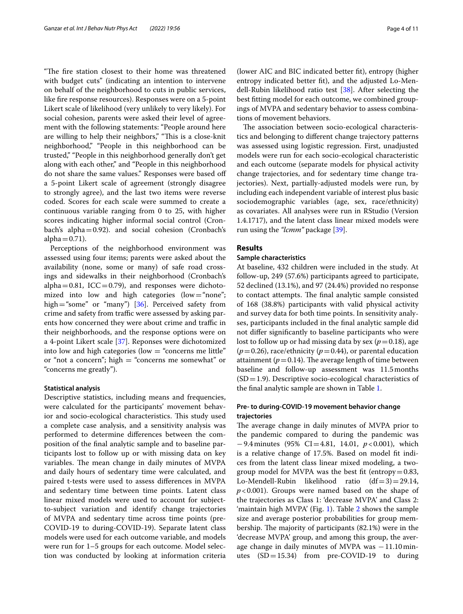"The fire station closest to their home was threatened with budget cuts" (indicating an intention to intervene on behalf of the neighborhood to cuts in public services, like fre response resources). Responses were on a 5-point Likert scale of likelihood (very unlikely to very likely). For social cohesion, parents were asked their level of agreement with the following statements: "People around here are willing to help their neighbors," "This is a close-knit" neighborhood," "People in this neighborhood can be trusted," "People in this neighborhood generally don't get along with each other," and "People in this neighborhood do not share the same values." Responses were based of a 5-point Likert scale of agreement (strongly disagree to strongly agree), and the last two items were reverse coded. Scores for each scale were summed to create a continuous variable ranging from 0 to 25, with higher scores indicating higher informal social control (Cronbach's alpha=0.92). and social cohesion (Cronbach's alpha $=0.71$ ).

Perceptions of the neighborhood environment was assessed using four items; parents were asked about the availability (none, some or many) of safe road crossings and sidewalks in their neighborhood (Cronbach's alpha=0.81, ICC=0.79), and responses were dichotomized into low and high categories (low="none"; high = "some" or "many") [[36](#page-9-31)]. Perceived safety from crime and safety from traffic were assessed by asking parents how concerned they were about crime and traffic in their neighborhoods, and the response options were on a 4-point Likert scale [\[37](#page-9-32)]. Reponses were dichotomized into low and high categories (low  $=$  "concerns me little" or "not a concern"; high  $=$  "concerns me somewhat" or "concerns me greatly").

#### **Statistical analysis**

Descriptive statistics, including means and frequencies, were calculated for the participants' movement behavior and socio-ecological characteristics. This study used a complete case analysis, and a sensitivity analysis was performed to determine diferences between the composition of the fnal analytic sample and to baseline participants lost to follow up or with missing data on key variables. The mean change in daily minutes of MVPA and daily hours of sedentary time were calculated, and paired t-tests were used to assess diferences in MVPA and sedentary time between time points. Latent class linear mixed models were used to account for subjectto-subject variation and identify change trajectories of MVPA and sedentary time across time points (pre-COVID-19 to during-COVID-19). Separate latent class models were used for each outcome variable, and models were run for 1–5 groups for each outcome. Model selection was conducted by looking at information criteria (lower AIC and BIC indicated better ft), entropy (higher entropy indicated better ft), and the adjusted Lo-Mendell-Rubin likelihood ratio test [\[38](#page-10-0)]. After selecting the best ftting model for each outcome, we combined groupings of MVPA and sedentary behavior to assess combinations of movement behaviors.

The association between socio-ecological characteristics and belonging to diferent change trajectory patterns was assessed using logistic regression. First, unadjusted models were run for each socio-ecological characteristic and each outcome (separate models for physical activity change trajectories, and for sedentary time change trajectories). Next, partially-adjusted models were run, by including each independent variable of interest plus basic sociodemographic variables (age, sex, race/ethnicity) as covariates. All analyses were run in RStudio (Version 1.4.1717), and the latent class linear mixed models were run using the *"lcmm"* package [\[39](#page-10-1)].

## **Results**

## **Sample characteristics**

At baseline, 432 children were included in the study. At follow-up, 249 (57.6%) participants agreed to participate, 52 declined (13.1%), and 97 (24.4%) provided no response to contact attempts. The final analytic sample consisted of 168 (38.8%) participants with valid physical activity and survey data for both time points. In sensitivity analyses, participants included in the fnal analytic sample did not difer signifcantly to baseline participants who were lost to follow up or had missing data by sex ( $p=0.18$ ), age  $(p=0.26)$ , race/ethnicity  $(p=0.44)$ , or parental education attainment ( $p=0.14$ ). The average length of time between baseline and follow-up assessment was 11.5months  $(SD=1.9)$ . Descriptive socio-ecological characteristics of the fnal analytic sample are shown in Table [1](#page-4-0).

## **Pre‑ to during‑COVID‑19 movement behavior change trajectories**

The average change in daily minutes of MVPA prior to the pandemic compared to during the pandemic was −9.4minutes (95% CI=4.81, 14.01, *p*<0.001), which is a relative change of 17.5%. Based on model ft indices from the latent class linear mixed modeling, a twogroup model for MVPA was the best fit (entropy= $0.83$ , Lo-Mendell-Rubin likelihood ratio  $(df=3)=29.14$ , *p*<0.001). Groups were named based on the shape of the trajectories as Class 1: 'decrease MVPA' and Class 2: 'maintain high MVPA' (Fig. [1\)](#page-5-0). Table [2](#page-5-1) shows the sample size and average posterior probabilities for group membership. The majority of participants  $(82.1%)$  were in the 'decrease MVPA' group, and among this group, the average change in daily minutes of MVPA was −11.10 minutes  $(SD=15.34)$  from pre-COVID-19 to during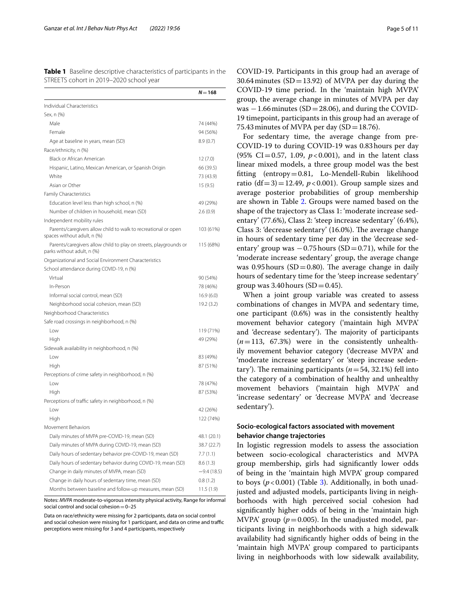<span id="page-4-0"></span>**Table 1** Baseline descriptive characteristics of participants in the STREETS cohort in 2019–2020 school year

|                                                                                                 | $N = 168$    |
|-------------------------------------------------------------------------------------------------|--------------|
| Individual Characteristics                                                                      |              |
| Sex, n (%)                                                                                      |              |
| Male                                                                                            | 74 (44%)     |
| Female                                                                                          | 94 (56%)     |
| Age at baseline in years, mean (SD)                                                             | 8.9(0.7)     |
| Race/ethnicity, n (%)                                                                           |              |
| Black or African American                                                                       | 12(7.0)      |
| Hispanic, Latino, Mexican American, or Spanish Origin                                           | 66 (39.5)    |
| White                                                                                           | 73 (43.9)    |
| Asian or Other                                                                                  | 15(9.5)      |
| <b>Family Characteristics</b>                                                                   |              |
| Education level less than high school, n (%)                                                    | 49 (29%)     |
| Number of children in household, mean (SD)                                                      | 2.6(0.9)     |
| Independent mobility rules                                                                      |              |
| Parents/caregivers allow child to walk to recreational or open<br>spaces without adult, n (%)   | 103 (61%)    |
| Parents/caregivers allow child to play on streets, playgrounds or<br>parks without adult, n (%) | 115 (68%)    |
| Organizational and Social Environment Characteristics                                           |              |
| School attendance during COVID-19, n (%)                                                        |              |
| Virtual                                                                                         | 90 (54%)     |
| In-Person                                                                                       | 78 (46%)     |
| Informal social control, mean (SD)                                                              | 16.9(6.0)    |
| Neighborhood social cohesion, mean (SD)                                                         | 19.2 (3.2)   |
| Neighborhood Characteristics                                                                    |              |
| Safe road crossings in neighborhood, n (%)                                                      |              |
| Low                                                                                             | 119 (71%)    |
| High                                                                                            | 49 (29%)     |
| Sidewalk availability in neighborhood, n (%)                                                    |              |
| Low                                                                                             | 83 (49%)     |
| High                                                                                            | 87 (51%)     |
| Perceptions of crime safety in neighborhood, n (%)                                              |              |
| Low                                                                                             | 78 (47%)     |
| High                                                                                            | 87 (53%)     |
| Perceptions of traffic safety in neighborhood, n (%)                                            |              |
| Low                                                                                             | 42 (26%)     |
| High                                                                                            | 122 (74%)    |
| Movement Behaviors                                                                              |              |
| Daily minutes of MVPA pre-COVID-19, mean (SD)                                                   | 48.1 (20.1)  |
| Daily minutes of MVPA during COVID-19, mean (SD)                                                | 38.7 (22.7)  |
| Daily hours of sedentary behavior pre-COVID-19, mean (SD)                                       | 7.7 (1.1)    |
| Daily hours of sedentary behavior during COVID-19, mean (SD)                                    | 8.6(1.3)     |
| Change in daily minutes of MVPA, mean (SD)                                                      | $-9.4(18.5)$ |
| Change in daily hours of sedentary time, mean (SD)                                              | 0.8(1.2)     |
| Months between baseline and follow-up measures, mean (SD)                                       | 11.5(1.9)    |

Notes: *MVPA* moderate-to-vigorous intensity physical activity, Range for informal social control and social cohesion $=0-25$ 

Data on race/ethnicity were missing for 2 participants, data on social control and social cohesion were missing for 1 participant, and data on crime and traffic perceptions were missing for 3 and 4 participants, respectively

COVID-19. Participants in this group had an average of 30.64 minutes  $(SD=13.92)$  of MVPA per day during the COVID-19 time period. In the 'maintain high MVPA' group, the average change in minutes of MVPA per day was −1.66minutes (SD=28.06), and during the COVID-19 timepoint, participants in this group had an average of 75.43 minutes of MVPA per day  $(SD=18.76)$ .

For sedentary time, the average change from pre-COVID-19 to during COVID-19 was 0.83hours per day (95% CI=0.57, 1.09,  $p < 0.001$ ), and in the latent class linear mixed models, a three group model was the best ftting (entropy=0.81, Lo-Mendell-Rubin likelihood ratio  $(df=3)=12.49$ ,  $p<0.001$ ). Group sample sizes and average posterior probabilities of group membership are shown in Table [2](#page-5-1). Groups were named based on the shape of the trajectory as Class 1: 'moderate increase sedentary' (77.6%), Class 2: 'steep increase sedentary' (6.4%), Class 3: 'decrease sedentary' (16.0%). The average change in hours of sedentary time per day in the 'decrease sedentary' group was  $-0.75$  hours (SD=0.71), while for the 'moderate increase sedentary' group, the average change was 0.95 hours ( $SD = 0.80$ ). The average change in daily hours of sedentary time for the 'steep increase sedentary' group was 3.40 hours  $(SD=0.45)$ .

When a joint group variable was created to assess combinations of changes in MVPA and sedentary time, one participant (0.6%) was in the consistently healthy movement behavior category ('maintain high MVPA' and 'decrease sedentary'). The majority of participants  $(n=113, 67.3%)$  were in the consistently unhealthily movement behavior category ('decrease MVPA' and 'moderate increase sedentary' or 'steep increase sedentary'). The remaining participants  $(n=54, 32.1%)$  fell into the category of a combination of healthy and unhealthy movement behaviors ('maintain high MVPA' and 'increase sedentary' or 'decrease MVPA' and 'decrease sedentary').

## **Socio‑ecological factors associated with movement behavior change trajectories**

In logistic regression models to assess the association between socio-ecological characteristics and MVPA group membership, girls had signifcantly lower odds of being in the 'maintain high MVPA' group compared to boys  $(p<0.001)$  (Table [3\)](#page-6-0). Additionally, in both unadjusted and adjusted models, participants living in neighborhoods with high perceived social cohesion had signifcantly higher odds of being in the 'maintain high MVPA' group ( $p = 0.005$ ). In the unadjusted model, participants living in neighborhoods with a high sidewalk availability had signifcantly higher odds of being in the 'maintain high MVPA' group compared to participants living in neighborhoods with low sidewalk availability,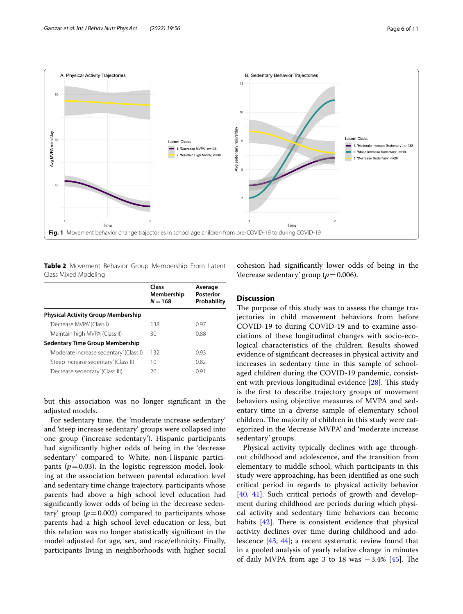

<span id="page-5-1"></span><span id="page-5-0"></span>**Table 2** Movement Behavior Group Membership From Latent Class Mixed Modeling

|                                           | Class<br>Membership<br>$N = 168$ | Average<br><b>Posterior</b><br>Probability |
|-------------------------------------------|----------------------------------|--------------------------------------------|
| <b>Physical Activity Group Membership</b> |                                  |                                            |
| 'Decrease MVPA' (Class I)                 | 138                              | 0.97                                       |
| 'Maintain high MVPA' (Class II)           | 30                               | 0.88                                       |
| <b>Sedentary Time Group Membership</b>    |                                  |                                            |
| 'Moderate increase sedentary' (Class I)   | 132                              | 0.93                                       |
| 'Steep increase sedentary' (Class II)     | 10                               | 0.82                                       |
| 'Decrease sedentary' (Class III)          | 26                               | O 91                                       |

but this association was no longer signifcant in the adjusted models.

For sedentary time, the 'moderate increase sedentary' and 'steep increase sedentary' groups were collapsed into one group ('increase sedentary'). Hispanic participants had signifcantly higher odds of being in the 'decrease sedentary' compared to White, non-Hispanic participants ( $p=0.03$ ). In the logistic regression model, looking at the association between parental education level and sedentary time change trajectory, participants whose parents had above a high school level education had signifcantly lower odds of being in the 'decrease sedentary' group  $(p=0.002)$  compared to participants whose parents had a high school level education or less, but this relation was no longer statistically signifcant in the model adjusted for age, sex, and race/ethnicity. Finally, participants living in neighborhoods with higher social cohesion had signifcantly lower odds of being in the 'decrease sedentary' group ( $p=0.006$ ).

## **Discussion**

The purpose of this study was to assess the change trajectories in child movement behaviors from before COVID-19 to during COVID-19 and to examine associations of these longitudinal changes with socio-ecological characteristics of the children. Results showed evidence of signifcant decreases in physical activity and increases in sedentary time in this sample of schoolaged children during the COVID-19 pandemic, consistent with previous longitudinal evidence  $[28]$  $[28]$ . This study is the frst to describe trajectory groups of movement behaviors using objective measures of MVPA and sedentary time in a diverse sample of elementary school children. The majority of children in this study were categorized in the 'decrease MVPA' and 'moderate increase sedentary' groups.

Physical activity typically declines with age throughout childhood and adolescence, and the transition from elementary to middle school, which participants in this study were approaching, has been identifed as one such critical period in regards to physical activity behavior [[40,](#page-10-2) [41](#page-10-3)]. Such critical periods of growth and development during childhood are periods during which physical activity and sedentary time behaviors can become habits  $[42]$  $[42]$  $[42]$ . There is consistent evidence that physical activity declines over time during childhood and adolescence [[43](#page-10-5), [44](#page-10-6)]; a recent systematic review found that in a pooled analysis of yearly relative change in minutes of daily MVPA from age 3 to 18 was  $-3.4\%$  [[45\]](#page-10-7). The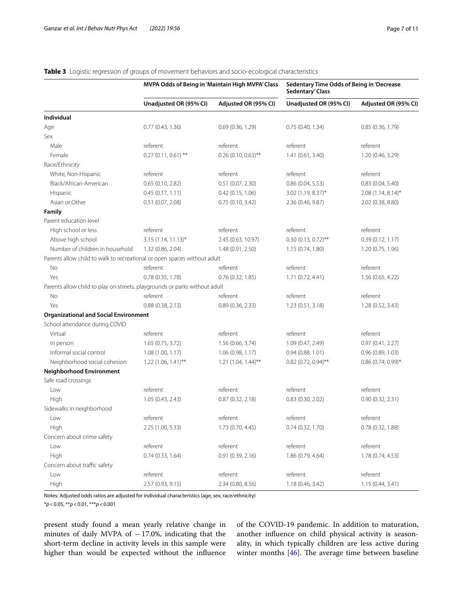|                                                                            | MVPA Odds of Being in 'Maintain High MVPA' Class |                       | Sedentary Time Odds of Being in 'Decrease<br>Sedentary' Class |                      |
|----------------------------------------------------------------------------|--------------------------------------------------|-----------------------|---------------------------------------------------------------|----------------------|
|                                                                            | Unadjusted OR (95% CI)                           | Adjusted OR (95% CI)  | Unadjusted OR (95% CI)                                        | Adjusted OR (95% CI) |
| Individual                                                                 |                                                  |                       |                                                               |                      |
| Age                                                                        | 0.77(0.43, 1.36)                                 | 0.69(0.36, 1.29)      | 0.75(0.40, 1.34)                                              | 0.85(0.36, 1.79)     |
| Sex                                                                        |                                                  |                       |                                                               |                      |
| Male                                                                       | referent                                         | referent              | referent                                                      | referent             |
| Female                                                                     | $0.27(0.11, 0.61)$ **                            | $0.26$ (0.10, 0.63)** | 1.41 (0.61, 3.40)                                             | 1.20 (0.46, 3.29)    |
| Race/Ethnicity                                                             |                                                  |                       |                                                               |                      |
| White, Non-Hispanic                                                        | referent                                         | referent              | referent                                                      | referent             |
| Black/African-American                                                     | 0.65(0.10, 2.82)                                 | 0.51(0.07, 2.30)      | 0.86(0.04, 5.53)                                              | 0.83(0.04, 5.40)     |
| Hispanic                                                                   | 0.45(0.17, 1.11)                                 | 0.42(0.15, 1.06)      | 3.02 (1.19, 8.37)*                                            | $2.08(1.14, 8.14)^*$ |
| Asian or Other                                                             | 0.51(0.07, 2.08)                                 | 0.75(0.10, 3.42)      | 2.36 (0.46, 9.87)                                             | 2.02 (0.38, 8.80)    |
| Family                                                                     |                                                  |                       |                                                               |                      |
| Parent education level                                                     |                                                  |                       |                                                               |                      |
| High school or less                                                        | referent                                         | referent              | referent                                                      | referent             |
| Above high school                                                          | $3.15(1.14, 11.13)^{*}$                          | 2.45 (0.63, 10.97)    | $0.30(0.13, 0.72)$ **                                         | 0.39(0.12, 1.17)     |
| Number of children in household                                            | 1.32 (0.86, 2.04)                                | 1.48 (0.91, 2.50)     | 1.15(0.74, 1.80)                                              | 1.20(0.75, 1.96)     |
| Parents allow child to walk to recreational or open spaces without adult   |                                                  |                       |                                                               |                      |
| No                                                                         | referent                                         | referent              | referent                                                      | referent             |
| Yes                                                                        | 0.78 (0.35, 1.78)                                | 0.76(0.32, 1.85)      | 1.71(0.72, 4.41)                                              | 1.56(0.65, 4.22)     |
| Parents allow child to play on streets, playgrounds or parks without adult |                                                  |                       |                                                               |                      |
| No                                                                         | referent                                         | referent              | referent                                                      | referent             |
| Yes                                                                        | 0.88(0.38, 2.13)                                 | 0.89(0.36, 2.33)      | 1.23(0.51, 3.18)                                              | 1.28 (0.52, 3.43)    |
| <b>Organizational and Social Environment</b>                               |                                                  |                       |                                                               |                      |
| School attendance during COVID                                             |                                                  |                       |                                                               |                      |
| Virtual                                                                    | referent                                         | referent              | referent                                                      | referent             |
| In person                                                                  | 1.65 (0.75, 3.72)                                | 1.56 (0.66, 3.74)     | 1.09 (0.47, 2.49)                                             | 0.97(0.41, 2.27)     |
| Informal social control                                                    | 1.08 (1.00, 1.17)                                | 1.06 (0.98, 1.17)     | 0.94(0.88, 1.01)                                              | 0.96(0.89, 1.03)     |
| Neighborhood social cohesion                                               | 1.22 (1.06, 1.41)**                              | $1.21$ (1.04, 1.44)** | 0.82 (0.72, 0.94)**                                           | $0.86(0.74, 0.99)$ * |
| <b>Neighborhood Environment</b>                                            |                                                  |                       |                                                               |                      |
| Safe road crossings                                                        |                                                  |                       |                                                               |                      |
| Low                                                                        | referent                                         | referent              | referent                                                      | referent             |
| High                                                                       | 1.05 (0.43, 2.43)                                | 0.87(0.32, 2.18)      | 0.83(0.30, 2.02)                                              | 0.90(0.32, 2.31)     |
| Sidewalks in neighborhood                                                  |                                                  |                       |                                                               |                      |
| Low                                                                        | referent                                         | referent              | referent                                                      | referent             |
| High                                                                       | 2.25 (1.00, 5.33)                                | 1.73 (0.70, 4.45)     | 0.74(0.32, 1.70)                                              | 0.78 (0.32, 1.88)    |
| Concern about crime safety                                                 |                                                  |                       |                                                               |                      |
| Low                                                                        | referent                                         | referent              | referent                                                      | referent             |
| High                                                                       | 0.74(0.33, 1.64)                                 | 0.91(0.39, 2.16)      | 1.86 (0.79, 4.64)                                             | 1.78 (0.74, 4.53)    |
| Concern about traffic safety                                               |                                                  |                       |                                                               |                      |
| Low                                                                        | referent                                         | referent              | referent                                                      | referent             |
| High                                                                       | 2.57 (0.93, 9.15)                                | 2.34 (0.80, 8.56)     | 1.18 (0.46, 3.42)                                             | 1.15(0.44, 3.41)     |

## <span id="page-6-0"></span>**Table 3** Logistic regression of groups of movement behaviors and socio-ecological characteristics

Notes: Adjusted odds ratios are adjusted for individual characteristics (age, sex, race/ethnicity)

\**p*<0.05, \*\**p*<0.01, \*\*\**p*<0.001

present study found a mean yearly relative change in minutes of daily MVPA of −17.0%, indicating that the short-term decline in activity levels in this sample were higher than would be expected without the infuence

of the COVID-19 pandemic. In addition to maturation, another infuence on child physical activity is seasonality, in which typically children are less active during winter months  $[46]$  $[46]$ . The average time between baseline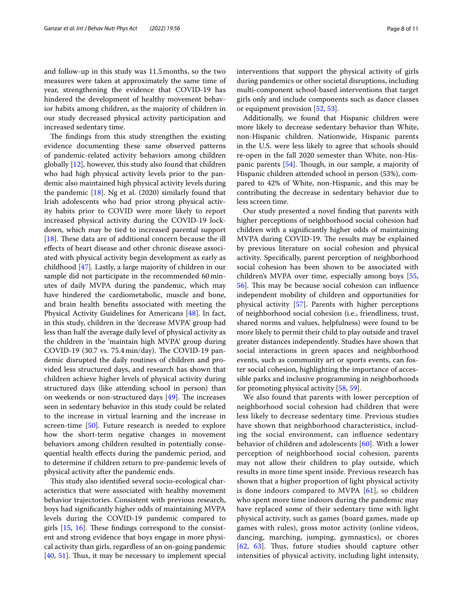and follow-up in this study was 11.5months, so the two measures were taken at approximately the same time of year, strengthening the evidence that COVID-19 has hindered the development of healthy movement behavior habits among children, as the majority of children in our study decreased physical activity participation and increased sedentary time.

The findings from this study strengthen the existing evidence documenting these same observed patterns of pandemic-related activity behaviors among children globally [\[12\]](#page-9-11), however, this study also found that children who had high physical activity levels prior to the pandemic also maintained high physical activity levels during the pandemic  $[18]$  $[18]$ . Ng et al.  $(2020)$  similarly found that Irish adolescents who had prior strong physical activity habits prior to COVID were more likely to report increased physical activity during the COVID-19 lockdown, which may be tied to increased parental support [[18\]](#page-9-16). These data are of additional concern because the ill efects of heart disease and other chronic disease associated with physical activity begin development as early as childhood [\[47\]](#page-10-9). Lastly, a large majority of children in our sample did not participate in the recommended 60minutes of daily MVPA during the pandemic, which may have hindered the cardiometabolic, muscle and bone, and brain health benefts associated with meeting the Physical Activity Guidelines for Americans [\[48](#page-10-10)]. In fact, in this study, children in the 'decrease MVPA' group had less than half the average daily level of physical activity as the children in the 'maintain high MVPA' group during COVID-19 (30.7 vs. 75.4 min/day). The COVID-19 pandemic disrupted the daily routines of children and provided less structured days, and research has shown that children achieve higher levels of physical activity during structured days (like attending school in person) than on weekends or non-structured days  $[49]$  $[49]$ . The increases seen in sedentary behavior in this study could be related to the increase in virtual learning and the increase in screen-time [\[50\]](#page-10-12). Future research is needed to explore how the short-term negative changes in movement behaviors among children resulted in potentially consequential health efects during the pandemic period, and to determine if children return to pre-pandemic levels of physical activity after the pandemic ends.

This study also identified several socio-ecological characteristics that were associated with healthy movement behavior trajectories. Consistent with previous research, boys had signifcantly higher odds of maintaining MVPA levels during the COVID-19 pandemic compared to girls  $[15, 16]$  $[15, 16]$  $[15, 16]$ . These findings correspond to the consistent and strong evidence that boys engage in more physical activity than girls, regardless of an on-going pandemic  $[40, 51]$  $[40, 51]$  $[40, 51]$  $[40, 51]$ . Thus, it may be necessary to implement special

interventions that support the physical activity of girls during pandemics or other societal disruptions, including multi-component school-based interventions that target girls only and include components such as dance classes or equipment provision [[52](#page-10-14), [53\]](#page-10-15).

Additionally, we found that Hispanic children were more likely to decrease sedentary behavior than White, non-Hispanic children. Nationwide, Hispanic parents in the U.S. were less likely to agree that schools should re-open in the fall 2020 semester than White, non-His-panic parents [\[54\]](#page-10-16). Though, in our sample, a majority of Hispanic children attended school in person (53%), compared to 42% of White, non-Hispanic, and this may be contributing the decrease in sedentary behavior due to less screen time.

Our study presented a novel fnding that parents with higher perceptions of neighborhood social cohesion had children with a signifcantly higher odds of maintaining MVPA during COVID-19. The results may be explained by previous literature on social cohesion and physical activity. Specifcally, parent perception of neighborhood social cohesion has been shown to be associated with children's MVPA over time, especially among boys [[55](#page-10-17), [56\]](#page-10-18). Tis may be because social cohesion can infuence independent mobility of children and opportunities for physical activity [[57](#page-10-19)]. Parents with higher perceptions of neighborhood social cohesion (i.e., friendliness, trust, shared norms and values, helpfulness) were found to be more likely to permit their child to play outside and travel greater distances independently. Studies have shown that social interactions in green spaces and neighborhood events, such as community art or sports events, can foster social cohesion, highlighting the importance of accessible parks and inclusive programming in neighborhoods for promoting physical activity [\[58](#page-10-20), [59\]](#page-10-21).

We also found that parents with lower perception of neighborhood social cohesion had children that were less likely to decrease sedentary time. Previous studies have shown that neighborhood characteristics, including the social environment, can infuence sedentary behavior of children and adolescents [[60\]](#page-10-22). With a lower perception of neighborhood social cohesion, parents may not allow their children to play outside, which results in more time spent inside. Previous research has shown that a higher proportion of light physical activity is done indoors compared to MVPA [[61\]](#page-10-23), so children who spent more time indoors during the pandemic may have replaced some of their sedentary time with light physical activity, such as games (board games, made up games with rules), gross motor activity (online videos, dancing, marching, jumping, gymnastics), or chores  $[62, 63]$  $[62, 63]$  $[62, 63]$  $[62, 63]$ . Thus, future studies should capture other intensities of physical activity, including light intensity,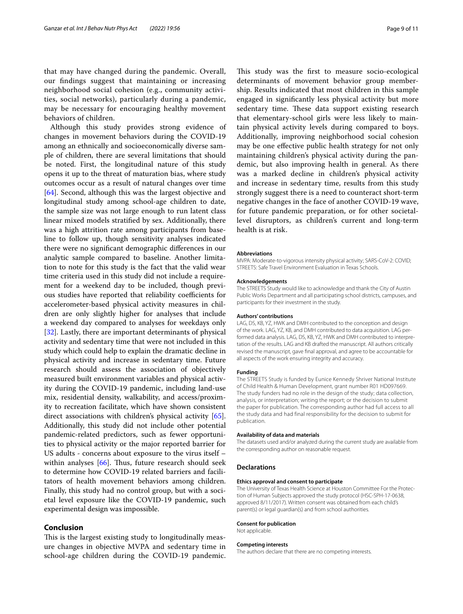that may have changed during the pandemic. Overall, our fndings suggest that maintaining or increasing neighborhood social cohesion (e.g., community activities, social networks), particularly during a pandemic, may be necessary for encouraging healthy movement behaviors of children.

Although this study provides strong evidence of changes in movement behaviors during the COVID-19 among an ethnically and socioeconomically diverse sample of children, there are several limitations that should be noted. First, the longitudinal nature of this study opens it up to the threat of maturation bias, where study outcomes occur as a result of natural changes over time [[64\]](#page-10-26). Second, although this was the largest objective and longitudinal study among school-age children to date, the sample size was not large enough to run latent class linear mixed models stratifed by sex. Additionally, there was a high attrition rate among participants from baseline to follow up, though sensitivity analyses indicated there were no signifcant demographic diferences in our analytic sample compared to baseline. Another limitation to note for this study is the fact that the valid wear time criteria used in this study did not include a requirement for a weekend day to be included, though previous studies have reported that reliability coefficients for accelerometer-based physical activity measures in children are only slightly higher for analyses that include a weekend day compared to analyses for weekdays only [[32\]](#page-9-27). Lastly, there are important determinants of physical activity and sedentary time that were not included in this study which could help to explain the dramatic decline in physical activity and increase in sedentary time. Future research should assess the association of objectively measured built environment variables and physical activity during the COVID-19 pandemic, including land-use mix, residential density, walkability, and access/proximity to recreation facilitate, which have shown consistent direct associations with children's physical activity [\[65](#page-10-27)]. Additionally, this study did not include other potential pandemic-related predictors, such as fewer opportunities to physical activity or the major reported barrier for US adults - concerns about exposure to the virus itself – within analyses  $[66]$  $[66]$ . Thus, future research should seek to determine how COVID-19 related barriers and facilitators of health movement behaviors among children. Finally, this study had no control group, but with a societal level exposure like the COVID-19 pandemic, such experimental design was impossible.

## **Conclusion**

This is the largest existing study to longitudinally measure changes in objective MVPA and sedentary time in school-age children during the COVID-19 pandemic.

This study was the first to measure socio-ecological determinants of movement behavior group membership. Results indicated that most children in this sample engaged in signifcantly less physical activity but more sedentary time. These data support existing research that elementary-school girls were less likely to maintain physical activity levels during compared to boys. Additionally, improving neighborhood social cohesion may be one efective public health strategy for not only maintaining children's physical activity during the pandemic, but also improving health in general. As there was a marked decline in children's physical activity and increase in sedentary time, results from this study strongly suggest there is a need to counteract short-term negative changes in the face of another COVID-19 wave, for future pandemic preparation, or for other societallevel disruptors, as children's current and long-term health is at risk.

#### **Abbreviations**

MVPA: Moderate-to-vigorous intensity physical activity; SARS-CoV-2: COVID; STREETS: Safe Travel Environment Evaluation in Texas Schools.

#### **Acknowledgements**

The STREETS Study would like to acknowledge and thank the City of Austin Public Works Department and all participating school districts, campuses, and participants for their investment in the study.

#### **Authors' contributions**

LAG, DS, KB, YZ, HWK and DMH contributed to the conception and design of the work. LAG, YZ, KB, and DMH contributed to data acquisition. LAG performed data analysis. LAG, DS, KB, YZ, HWK and DMH contributed to interpretation of the results. LAG and KB drafted the manuscript. All authors critically revised the manuscript, gave fnal approval, and agree to be accountable for all aspects of the work ensuring integrity and accuracy.

#### **Funding**

The STREETS Study is funded by Eunice Kennedy Shriver National Institute of Child Health & Human Development, grant number R01 HD097669. The study funders had no role in the design of the study; data collection, analysis, or interpretation; writing the report; or the decision to submit the paper for publication. The corresponding author had full access to all the study data and had final responsibility for the decision to submit for publication.

#### **Availability of data and materials**

The datasets used and/or analyzed during the current study are available from the corresponding author on reasonable request.

#### **Declarations**

#### **Ethics approval and consent to participate**

The University of Texas Health Science at Houston Committee For the Protection of Human Subjects approved the study protocol (HSC-SPH-17-0638, approved 8/11/2017). Written consent was obtained from each child's parent(s) or legal guardian(s) and from school authorities.

#### **Consent for publication**

Not applicable.

#### **Competing interests**

The authors declare that there are no competing interests.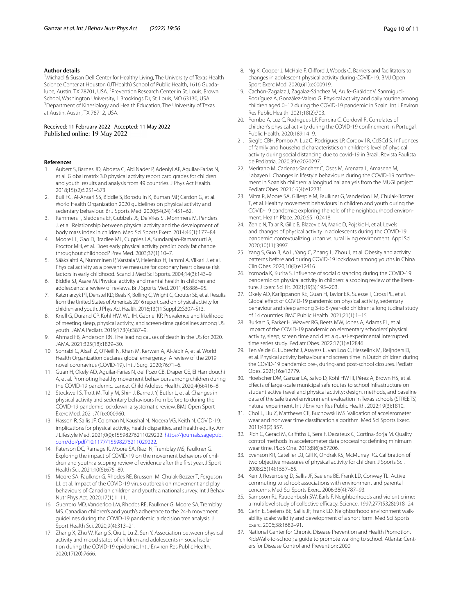#### **Author details**

<sup>1</sup> Michael & Susan Dell Center for Healthy Living, The University of Texas Health Science Center at Houston (UTHealth) School of Public Health, 1616 Guadalupe, Austin, TX 78701, USA. <sup>2</sup> Prevention Research Center in St. Louis, Brown School, Washington University, 1 Brookings Dr, St. Louis, MO 63130, USA. <sup>3</sup> Department of Kinesiology and Health Education, The University of Texas at Austin, Austin, TX 78712, USA.

Received: 11 February 2022 Accepted: 11 May 2022 Published online: 19 May 2022

#### **References**

- <span id="page-9-0"></span>1. Aubert S, Barnes JD, Abdeta C, Abi Nader P, Adeniyi AF, Aguilar-Farias N, et al. Global matrix 3.0 physical activity report card grades for children and youth: results and analysis from 49 countries. J Phys Act Health. 2018;15(s2):S251–S73.
- <span id="page-9-1"></span>2. Bull FC, Al-Ansari SS, Biddle S, Borodulin K, Buman MP, Cardon G, et al. World Health Organization 2020 guidelines on physical activity and sedentary behaviour. Br J Sports Med. 2020;54(24):1451–62.
- <span id="page-9-2"></span>3. Remmers T, Sleddens EF, Gubbels JS, De Vries SI, Mommers M, Penders J, et al. Relationship between physical activity and the development of body mass index in children. Med Sci Sports Exerc. 2014;46(1):177–84.
- <span id="page-9-3"></span>4. Moore LL, Gao D, Bradlee ML, Cupples LA, Sundarajan-Ramamurti A, Proctor MH, et al. Does early physical activity predict body fat change throughout childhood? Prev Med. 2003;37(1):10–7.
- <span id="page-9-4"></span>5. Sääkslahti A, Numminen P, Varstala V, Helenius H, Tammi A, Viikari J, et al. Physical activity as a preventive measure for coronary heart disease risk factors in early childhood. Scand J Med Sci Sports. 2004;14(3):143–9.
- <span id="page-9-5"></span>6. Biddle SJ, Asare M. Physical activity and mental health in children and adolescents: a review of reviews. Br J Sports Med. 2011;45:886–95.
- <span id="page-9-6"></span>7. Katzmarzyk PT, Denstel KD, Beals K, Bolling C, Wright C, Crouter SE, et al. Results from the United States of America's 2016 report card on physical activity for children and youth. J Phys Act Health. 2016;13(11 Suppl 2):S307–S13.
- <span id="page-9-7"></span>8. Knell G, Durand CP, Kohl HW, Wu IH, Gabriel KP. Prevalence and likelihood of meeting sleep, physical activity, and screen-time guidelines among US youth. JAMA Pediatr. 2019;173(4):387–9.
- <span id="page-9-8"></span>9. Ahmad FB, Anderson RN. The leading causes of death in the US for 2020. JAMA. 2021;325(18):1829–30.
- <span id="page-9-9"></span>10. Sohrabi C, Alsaf Z, O'Neill N, Khan M, Kerwan A, Al-Jabir A, et al. World Health Organization declares global emergency: A review of the 2019 novel coronavirus (COVID-19). Int J Surg. 2020;76:71–6.
- <span id="page-9-10"></span>11. Guan H, Okely AD, Aguilar-Farias N, del Pozo CB, Draper CE, El Hamdouchi A, et al. Promoting healthy movement behaviours among children during the COVID-19 pandemic. Lancet Child Adolesc Health. 2020;4(6):416–8.
- <span id="page-9-11"></span>12. Stockwell S, Trott M, Tully M, Shin J, Barnett Y, Butler L, et al. Changes in physical activity and sedentary behaviours from before to during the COVID-19 pandemic lockdown: a systematic review. BMJ Open Sport Exerc Med. 2021;7(1):e000960.
- <span id="page-9-12"></span>13. Hasson R, Sallis JF, Coleman N, Kaushal N, Nocera VG, Keith N. COVID-19: implications for physical activity, health disparities, and health equity. Am J Lifestyle Med. 2021;0(0):15598276211029222. [https://journals.sagepub.](https://journals.sagepub.com/doi/pdf/10.1177/15598276211029222) [com/doi/pdf/10.1177/15598276211029222](https://journals.sagepub.com/doi/pdf/10.1177/15598276211029222).
- <span id="page-9-13"></span>14. Paterson DC, Ramage K, Moore SA, Riazi N, Tremblay MS, Faulkner G. Exploring the impact of COVID-19 on the movement behaviors of children and youth: a scoping review of evidence after the frst year. J Sport Health Sci. 2021;10(6):675–89.
- <span id="page-9-14"></span>15. Moore SA, Faulkner G, Rhodes RE, Brussoni M, Chulak-Bozzer T, Ferguson LJ, et al. Impact of the COVID-19 virus outbreak on movement and play behaviours of Canadian children and youth: a national survey. Int J Behav Nutr Phys Act. 2020;17(1):1–11.
- <span id="page-9-33"></span>16. Guerrero MD, Vanderloo LM, Rhodes RE, Faulkner G, Moore SA, Tremblay MS. Canadian children's and youth's adherence to the 24-h movement guidelines during the COVID-19 pandemic: a decision tree analysis. J Sport Health Sci. 2020;9(4):313–21.
- <span id="page-9-15"></span>17. Zhang X, Zhu W, Kang S, Qiu L, Lu Z, Sun Y. Association between physical activity and mood states of children and adolescents in social isolation during the COVID-19 epidemic. Int J Environ Res Public Health. 2020;17(20):7666.
- 
- <span id="page-9-16"></span>18. Ng K, Cooper J, McHale F, Clifford J, Woods C. Barriers and facilitators to changes in adolescent physical activity during COVID-19. BMJ Open Sport Exerc Med. 2020;6(1):e000919.
- <span id="page-9-17"></span>19. Cachón-Zagalaz J, Zagalaz-Sánchez M, Arufe-Giráldez V, Sanmiguel-Rodríguez A, González-Valero G. Physical activity and daily routine among children aged 0–12 during the COVID-19 pandemic in Spain. Int J Environ Res Public Health. 2021;18(2):703.
- <span id="page-9-18"></span>20. Pombo A, Luz C, Rodrigues LP, Ferreira C, Cordovil R. Correlates of children's physical activity during the COVID-19 confnement in Portugal. Public Health. 2020;189:14–9.
- 21. Siegle CBH, Pombo A, Luz C, Rodrigues LP, Cordovil R, CdSCd S. Infuences of family and household characteristics on children's level of physical activity during social distancing due to covid-19 in Brazil. Revista Paulista de Pediatria. 2020;39:e2020297.
- 22. Medrano M, Cadenas-Sanchez C, Oses M, Arenaza L, Amasene M, Labayen I. Changes in lifestyle behaviours during the COVID-19 confnement in Spanish children: a longitudinal analysis from the MUGI project. Pediatr Obes. 2021;16(4):e12731.
- 23. Mitra R, Moore SA, Gillespie M, Faulkner G, Vanderloo LM, Chulak-Bozzer T, et al. Healthy movement behaviours in children and youth during the COVID-19 pandemic: exploring the role of the neighbourhood environment. Health Place. 2020;65:102418.
- <span id="page-9-19"></span>24. Zenic N, Taiar R, Gilic B, Blazevic M, Maric D, Pojskic H, et al. Levels and changes of physical activity in adolescents during the COVID-19 pandemic: contextualizing urban vs. rural living environment. Appl Sci. 2020;10(11):3997.
- <span id="page-9-20"></span>25. Yang S, Guo B, Ao L, Yang C, Zhang L, Zhou J, et al. Obesity and activity patterns before and during COVID-19 lockdown among youths in China. Clin Obes. 2020;10(6):e12416.
- <span id="page-9-21"></span>26. Yomoda K, Kurita S. Infuence of social distancing during the COVID-19 pandemic on physical activity in children: a scoping review of the literature. J Exerc Sci Fit. 2021;19(3):195–203.
- <span id="page-9-22"></span>27. Okely AD, Kariippanon KE, Guan H, Taylor EK, Suesse T, Cross PL, et al. Global efect of COVID-19 pandemic on physical activity, sedentary behaviour and sleep among 3-to 5-year-old children: a longitudinal study of 14 countries. BMC Public Health. 2021;21(1):1–15.
- <span id="page-9-23"></span>28. Burkart S, Parker H, Weaver RG, Beets MW, Jones A, Adams EL, et al. Impact of the COVID-19 pandemic on elementary schoolers' physical activity, sleep, screen time and diet: a quasi-experimental interrupted time series study. Pediatr Obes. 2022;17(1):e12846.
- <span id="page-9-24"></span>29. Ten Velde G, Lubrecht J, Arayess L, van Loo C, Hesselink M, Reijnders D, et al. Physical activity behaviour and screen time in Dutch children during the COVID-19 pandemic: pre-, during-and post-school closures. Pediatr Obes. 2021;16:e12779.
- <span id="page-9-25"></span>30. Hoelscher DM, Ganzar LA, Salvo D, Kohl HW III, Pérez A, Brown HS, et al. Efects of large-scale municipal safe routes to school infrastructure on student active travel and physical activity: design, methods, and baseline data of the safe travel environment evaluation in Texas schools (STREETS) natural experiment. Int J Environ Res Public Health. 2022;19(3):1810.
- <span id="page-9-26"></span>31. Choi L, Liu Z, Matthews CE, Buchowski MS. Validation of accelerometer wear and nonwear time classifcation algorithm. Med Sci Sports Exerc. 2011;43(2):357.
- <span id="page-9-27"></span>32. Rich C, Geraci M, Grifths L, Sera F, Dezateux C, Cortina-Borja M. Quality control methods in accelerometer data processing: defning minimum wear time. PLoS One. 2013;8(6):e67206.
- <span id="page-9-28"></span>33. Evenson KR, Catellier DJ, Gill K, Ondrak KS, McMurray RG. Calibration of two objective measures of physical activity for children. J Sports Sci. 2008;26(14):1557–65.
- <span id="page-9-29"></span>34. Kerr J, Rosenberg D, Sallis JF, Saelens BE, Frank LD, Conway TL. Active commuting to school: associations with environment and parental concerns. Med Sci Sports Exerc. 2006;38(4):787–93.
- <span id="page-9-30"></span>35. Sampson RJ, Raudenbush SW, Earls F. Neighborhoods and violent crime: a multilevel study of collective efficacy. Science. 1997;277(5328):918-24.
- <span id="page-9-31"></span>36. Cerin E, Saelens BE, Sallis JF, Frank LD. Neighborhood environment walkability scale: validity and development of a short form. Med Sci Sports Exerc. 2006;38:1682–91.
- <span id="page-9-32"></span>37. National Center for Chronic Disease Prevention and Health Promotion. KidsWalk-to-school; a guide to promote walking to school. Atlanta: Centers for Disease Control and Prevention; 2000.